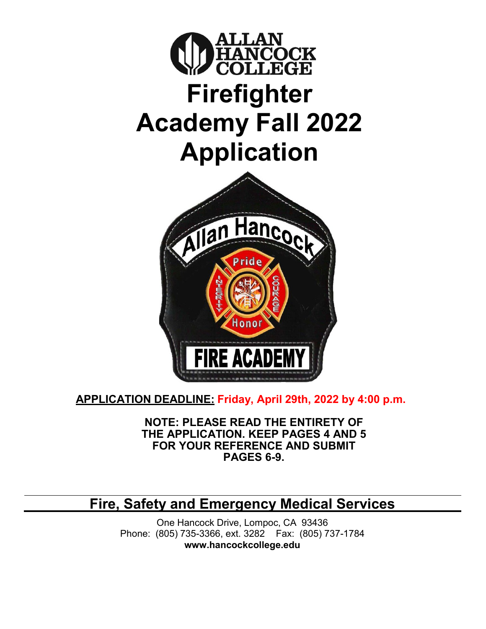

**APPLICATION DEADLINE: Friday, April 29th, 2022 by 4:00 p.m.**

**NOTE: PLEASE READ THE ENTIRETY OF THE APPLICATION. KEEP PAGES 4 AND 5 FOR YOUR REFERENCE AND SUBMIT PAGES 6-9.**

**Fire, Safety and Emergency Medical Services**

One Hancock Drive, Lompoc, CA 93436 Phone: (805) 735-3366, ext. 3282 Fax: (805) 737-1784 **[www.hancockcollege.edu](http://www.hancockcollege.edu/)**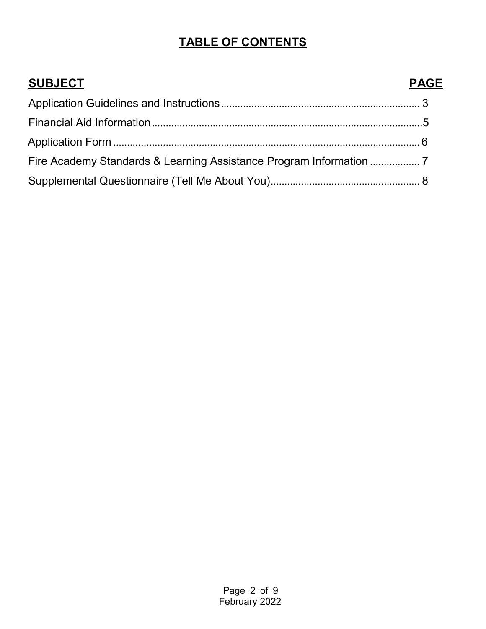# **TABLE OF CONTENTS**

| <b>SUBJECT</b> | <b>PAGE</b> |
|----------------|-------------|
|                |             |
|                |             |
|                |             |
|                |             |
|                |             |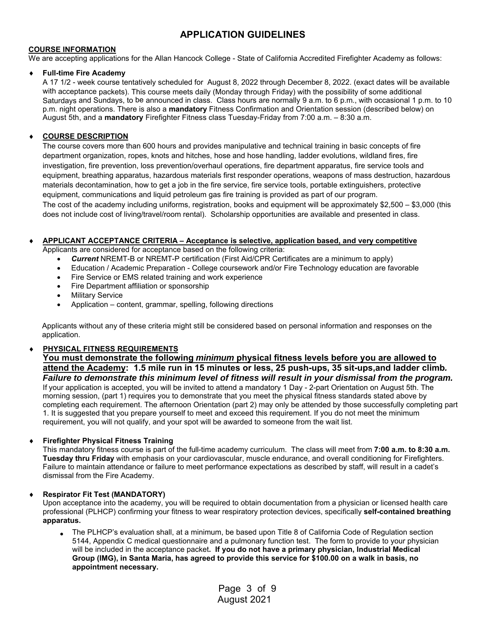### **APPLICATION GUIDELINES**

#### **COURSE INFORMATION**

We are accepting applications for the Allan Hancock College - State of California Accredited Firefighter Academy as follows:

#### **Full-time Fire Academy**

A 17 1/2 - week course tentatively scheduled for August 8, 2022 through December 8, 2022. (exact dates will be available with acceptance packets). This course meets daily (Monday through Friday) with the possibility of some additional Saturdays and Sundays, to be announced in class. Class hours are normally 9 a.m. to 6 p.m., with occasional 1 p.m. to 10 p.m. night operations. There is also a **mandatory** Fitness Confirmation and Orientation session (described below) on August 5th, and a **mandatory** Firefighter Fitness class Tuesday-Friday from 7:00 a.m. – 8:30 a.m.

#### ♦ **COURSE DESCRIPTION**

The course covers more than 600 hours and provides manipulative and technical training in basic concepts of fire department organization, ropes, knots and hitches, hose and hose handling, ladder evolutions, wildland fires, fire investigation, fire prevention, loss prevention/overhaul operations, fire department apparatus, fire service tools and equipment, breathing apparatus, hazardous materials first responder operations, weapons of mass destruction, hazardous materials decontamination, how to get a job in the fire service, fire service tools, portable extinguishers, protective equipment, communications and liquid petroleum gas fire training is provided as part of our program. The cost of the academy including uniforms, registration, books and equipment will be approximately  $$2,500 - $3,000$  (this does not include cost of living/travel/room rental). Scholarship opportunities are available and presented in class.

#### ♦ **APPLICANT ACCEPTANCE CRITERIA – Acceptance is selective, application based, and very competitive** Applicants are considered for acceptance based on the following criteria:

- *Current* NREMT-B or NREMT-P certification (First Aid/CPR Certificates are a minimum to apply)
- Education / Academic Preparation College coursework and/or Fire Technology education are favorable
- Fire Service or EMS related training and work experience
- Fire Department affiliation or sponsorship
- **Military Service**
- Application content, grammar, spelling, following directions

Applicants without any of these criteria might still be considered based on personal information and responses on the application.

#### ♦ **PHYSICAL FITNESS REQUIREMENTS**

**You must demonstrate the following** *minimum* **physical fitness levels before you are allowed to attend the Academy: 1.5 mile run in 15 minutes or less, 25 push-ups, 35 sit-ups,and ladder climb***. Failure to demonstrate this minimum level of fitness will result in your dismissal from the program.* If your application is accepted, you will be invited to attend a mandatory 1 Day - 2-part Orientation on August 5th. The morning session, (part 1) requires you to demonstrate that you meet the physical fitness standards stated above by completing each requirement. The afternoon Orientation (part 2) may only be attended by those successfully completing part 1. It is suggested that you prepare yourself to meet and exceed this requirement. If you do not meet the minimum requirement, you will not qualify, and your spot will be awarded to someone from the wait list.

#### ♦ **Firefighter Physical Fitness Training**

This mandatory fitness course is part of the full-time academy curriculum. The class will meet from **7:00 a.m. to 8:30 a.m. Tuesday thru Friday** with emphasis on your cardiovascular, muscle endurance, and overall conditioning for Firefighters. Failure to maintain attendance or failure to meet performance expectations as described by staff, will result in a cadet's dismissal from the Fire Academy.

#### ♦ **Respirator Fit Test (MANDATORY)**

Upon acceptance into the academy, you will be required to obtain documentation from a physician or licensed health care professional (PLHCP) confirming your fitness to wear respiratory protection devices, specifically **self-contained breathing apparatus.**

The PLHCP's evaluation shall, at a minimum, be based upon Title 8 of California Code of Regulation section 5144, Appendix C medical questionnaire and a pulmonary function test. The form to provide to your physician will be included in the acceptance packet**. If you do not have a primary physician, Industrial Medical Group (IMG), in Santa Maria, has agreed to provide this service for \$100.00 on a walk in basis, no appointment necessary.** •

> Page 3 of 9 August 2021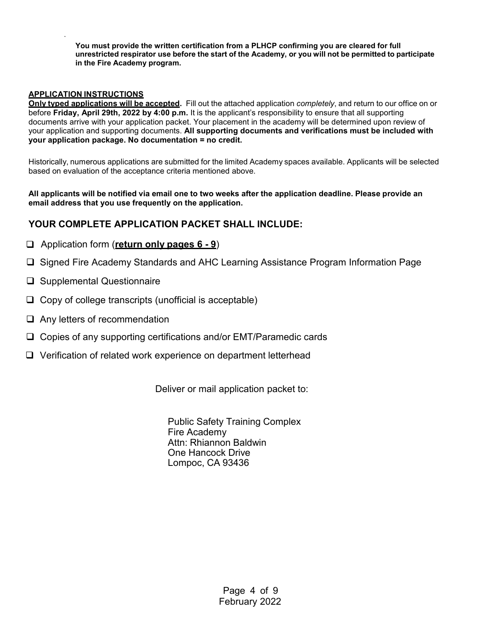**You must provide the written certification from a PLHCP confirming you are cleared for full unrestricted respirator use before the start of the Academy, or you will not be permitted to participate in the Fire Academy program.**

#### **APPLICATION INSTRUCTIONS**

**Only typed applications will be accepted.** Fill out the attached application *completely*, and return to our office on or before **Friday, April 29th, 2022 by 4:00 p.m.** It is the applicant's responsibility to ensure that all supporting documents arrive with your application packet. Your placement in the academy will be determined upon review of your application and supporting documents. **All supporting documents and verifications must be included with your application package. No documentation = no credit.**

Historically, numerous applications are submitted for the limited Academy spaces available. Applicants will be selected based on evaluation of the acceptance criteria mentioned above.

All applicants will be notified via email one to two weeks after the application deadline. Please provide an **email address that you use frequently on the application.**

### **YOUR COMPLETE APPLICATION PACKET SHALL INCLUDE:**

### Application form (**return only pages 6 - 9**)

- □ Signed Fire Academy Standards and AHC Learning Assistance Program Information Page
- □ Supplemental Questionnaire
- $\Box$  Copy of college transcripts (unofficial is acceptable)
- $\Box$  Any letters of recommendation
- Copies of any supporting certifications and/or EMT/Paramedic cards
- □ Verification of related work experience on department letterhead

Deliver or mail application packet to:

Public Safety Training Complex Fire Academy Attn: Rhiannon Baldwin One Hancock Drive Lompoc, CA 93436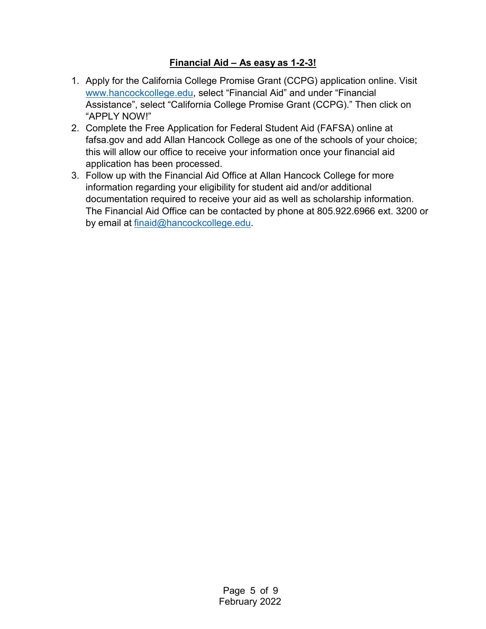### **Financial Aid – As easy as 1-2-3!**

- 1. Apply for the California College Promise Grant (CCPG) application online. Visit [www.hancockcollege.edu,](http://www.hancockcollege.edu/) select "Financial Aid" and under "Financial Assistance", select "California College Promise Grant (CCPG)." Then click on "APPLY NOW!"
- 2. Complete the Free Application for Federal Student Aid (FAFSA) online at fafsa.gov and add Allan Hancock College as one of the schools of your choice; this will allow our office to receive your information once your financial aid application has been processed.
- 3. Follow up with the Financial Aid Office at Allan Hancock College for more information regarding your eligibility for student aid and/or additional documentation required to receive your aid as well as scholarship information. The Financial Aid Office can be contacted by phone at 805.922.6966 ext. 3200 or by email at [finaid@hancockcollege.edu.](mailto:finaid@hancockcollege.edu)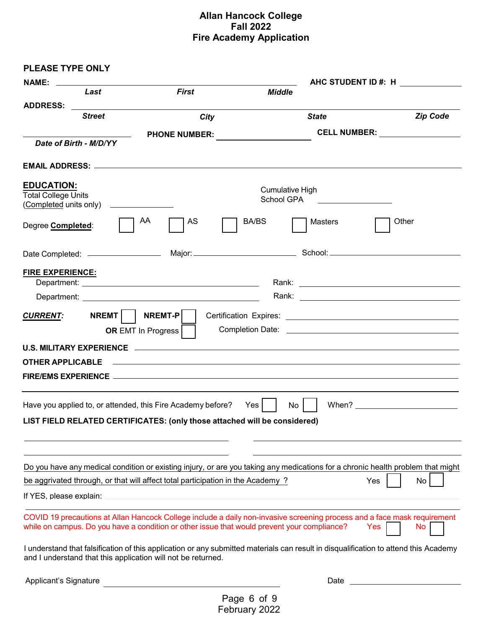### **Allan Hancock College Fall 2022 Fire Academy Application**

| <b>PLEASE TYPE ONLY</b>                                                   |                                                                                             |                                                                                                                                                                                                                                                                              |                                                                                                                                                                                                                                |
|---------------------------------------------------------------------------|---------------------------------------------------------------------------------------------|------------------------------------------------------------------------------------------------------------------------------------------------------------------------------------------------------------------------------------------------------------------------------|--------------------------------------------------------------------------------------------------------------------------------------------------------------------------------------------------------------------------------|
| <b>NAME:</b>                                                              |                                                                                             | AHC STUDENT ID #: H                                                                                                                                                                                                                                                          |                                                                                                                                                                                                                                |
| Last                                                                      | <b>First</b>                                                                                | <b>Middle</b>                                                                                                                                                                                                                                                                |                                                                                                                                                                                                                                |
|                                                                           |                                                                                             |                                                                                                                                                                                                                                                                              |                                                                                                                                                                                                                                |
| <b>Street</b>                                                             | City                                                                                        | <b>State</b>                                                                                                                                                                                                                                                                 | <b>Zip Code</b>                                                                                                                                                                                                                |
| Date of Birth - M/D/YY                                                    | PHONE NUMBER:                                                                               |                                                                                                                                                                                                                                                                              |                                                                                                                                                                                                                                |
|                                                                           |                                                                                             |                                                                                                                                                                                                                                                                              |                                                                                                                                                                                                                                |
| <b>EDUCATION:</b><br><b>Total College Units</b>                           |                                                                                             | <b>Cumulative High</b><br>School GPA<br><u>and the contract of the contract of the contract of the contract of the contract of the contract of the contract of the contract of the contract of the contract of the contract of the contract of the contract of the contr</u> |                                                                                                                                                                                                                                |
| Degree <b>Completed:</b>                                                  | AA<br>AS                                                                                    | BA/BS<br>Masters                                                                                                                                                                                                                                                             | Other                                                                                                                                                                                                                          |
|                                                                           |                                                                                             |                                                                                                                                                                                                                                                                              |                                                                                                                                                                                                                                |
| <b>FIRE EXPERIENCE:</b>                                                   |                                                                                             |                                                                                                                                                                                                                                                                              |                                                                                                                                                                                                                                |
|                                                                           |                                                                                             |                                                                                                                                                                                                                                                                              |                                                                                                                                                                                                                                |
|                                                                           |                                                                                             |                                                                                                                                                                                                                                                                              |                                                                                                                                                                                                                                |
| <u>CURRENT:</u>                                                           | $NREMT$   $NREMT-P$<br>OR EMT In Progress                                                   |                                                                                                                                                                                                                                                                              |                                                                                                                                                                                                                                |
|                                                                           |                                                                                             |                                                                                                                                                                                                                                                                              |                                                                                                                                                                                                                                |
|                                                                           |                                                                                             |                                                                                                                                                                                                                                                                              |                                                                                                                                                                                                                                |
|                                                                           |                                                                                             |                                                                                                                                                                                                                                                                              |                                                                                                                                                                                                                                |
|                                                                           |                                                                                             |                                                                                                                                                                                                                                                                              |                                                                                                                                                                                                                                |
| Have you applied to, or attended, this Fire Academy before?               |                                                                                             | No<br>$Yes \mid$                                                                                                                                                                                                                                                             |                                                                                                                                                                                                                                |
| LIST FIELD RELATED CERTIFICATES: (only those attached will be considered) |                                                                                             |                                                                                                                                                                                                                                                                              |                                                                                                                                                                                                                                |
|                                                                           |                                                                                             |                                                                                                                                                                                                                                                                              |                                                                                                                                                                                                                                |
|                                                                           |                                                                                             | Do you have any medical condition or existing injury, or are you taking any medications for a chronic health problem that might                                                                                                                                              |                                                                                                                                                                                                                                |
|                                                                           | be aggrivated through, or that will affect total participation in the Academy?              |                                                                                                                                                                                                                                                                              | Yes<br>No                                                                                                                                                                                                                      |
|                                                                           |                                                                                             |                                                                                                                                                                                                                                                                              |                                                                                                                                                                                                                                |
|                                                                           |                                                                                             |                                                                                                                                                                                                                                                                              |                                                                                                                                                                                                                                |
|                                                                           | while on campus. Do you have a condition or other issue that would prevent your compliance? | COVID 19 precautions at Allan Hancock College include a daily non-invasive screening process and a face mask requirement                                                                                                                                                     | No<br>Yes                                                                                                                                                                                                                      |
| and I understand that this application will not be returned.              |                                                                                             | I understand that falsification of this application or any submitted materials can result in disqualification to attend this Academy                                                                                                                                         |                                                                                                                                                                                                                                |
| Applicant's Signature                                                     |                                                                                             |                                                                                                                                                                                                                                                                              | Date and the contract of the contract of the contract of the contract of the contract of the contract of the contract of the contract of the contract of the contract of the contract of the contract of the contract of the c |
|                                                                           |                                                                                             |                                                                                                                                                                                                                                                                              |                                                                                                                                                                                                                                |

Page 6 of 9 February 2022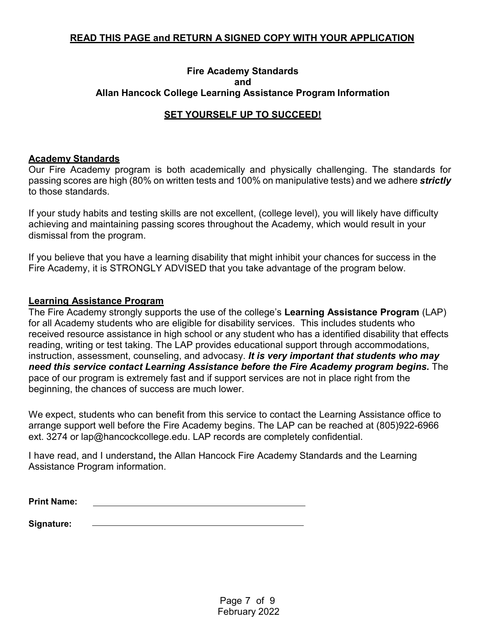### **READ THIS PAGE and RETURN A SIGNED COPY WITH YOUR APPLICATION**

### **Fire Academy Standards and Allan Hancock College Learning Assistance Program Information**

### **SET YOURSELF UP TO SUCCEED!**

### **Academy Standards**

Our Fire Academy program is both academically and physically challenging. The standards for passing scores are high (80% on written tests and 100% on manipulative tests) and we adhere *strictly* to those standards.

If your study habits and testing skills are not excellent, (college level), you will likely have difficulty achieving and maintaining passing scores throughout the Academy, which would result in your dismissal from the program.

If you believe that you have a learning disability that might inhibit your chances for success in the Fire Academy, it is STRONGLY ADVISED that you take advantage of the program below.

### **Learning Assistance Program**

The Fire Academy strongly supports the use of the college's **Learning Assistance Program** (LAP) for all Academy students who are eligible for disability services. This includes students who received resource assistance in high school or any student who has a identified disability that effects reading, writing or test taking. The LAP provides educational support through accommodations, instruction, assessment, counseling, and advocasy. *It is very important that students who may* need this service contact Learning Assistance before the Fire Academy program begins. The pace of our program is extremely fast and if support services are not in place right from the beginning, the chances of success are much lower.

We expect, students who can benefit from this service to contact the Learning Assistance office to arrange support well before the Fire Academy begins. The LAP can be reached at (805)922-6966 ext. 3274 or [lap@hancockcollege.edu.](mailto:lap@hancockcollege.edu) LAP records are completely confidential.

I have read, and I understand**,** the Allan Hancock Fire Academy Standards and the Learning Assistance Program information.

**Signature:**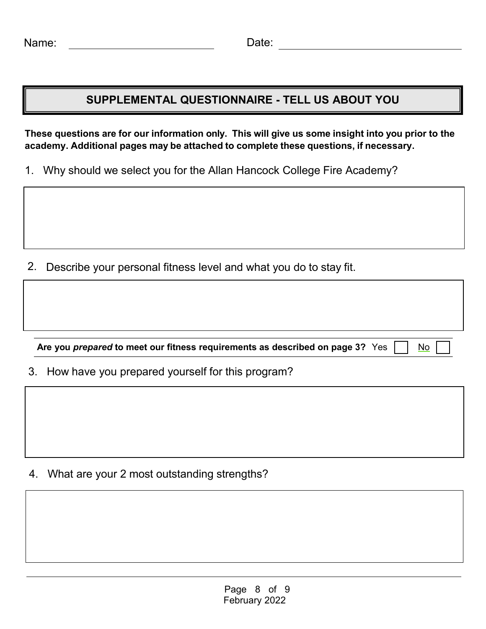## **SUPPLEMENTAL QUESTIONNAIRE - TELL US ABOUT YOU**

These questions are for our information only. This will give us some insight into you prior to the **academy. Additional pages may be attached to complete these questions, if necessary.** 

1. Why should we select you for the Allan Hancock College Fire Academy?

2. Describe your personal fitness level and what you do to stay fit.

**Are** you *prepared* to meet our fitness requirements as described on page 3? Yes  $\Box$  No

3. How have you prepared yourself for this program?

4. What are your 2 most outstanding strengths?